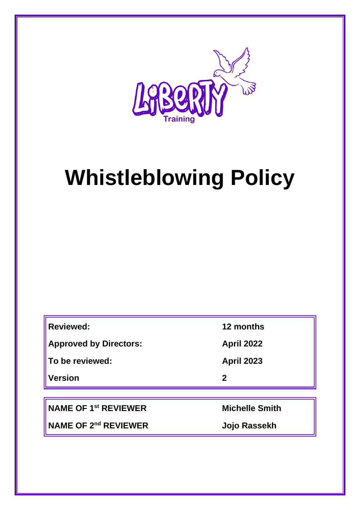

# **Whistleblowing Policy**

| <b>Reviewed:</b>              | 12 months         |
|-------------------------------|-------------------|
| <b>Approved by Directors:</b> | <b>April 2022</b> |
| To be reviewed:               | <b>April 2023</b> |
| <b>Version</b>                | $\mathbf 2$       |
|                               |                   |

**NAME OF 1st REVIEWER Michelle Smith**

**NAME OF 2nd REVIEWER Jojo Rassekh**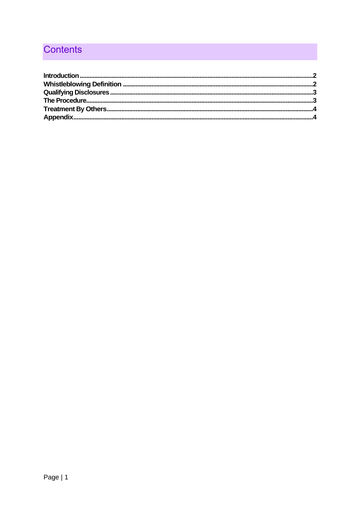# Contents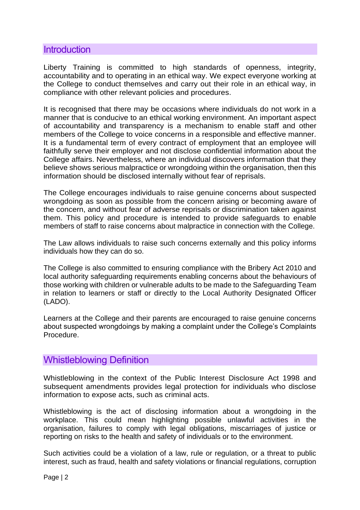#### <span id="page-2-0"></span>**Introduction**

Liberty Training is committed to high standards of openness, integrity, accountability and to operating in an ethical way. We expect everyone working at the College to conduct themselves and carry out their role in an ethical way, in compliance with other relevant policies and procedures.

It is recognised that there may be occasions where individuals do not work in a manner that is conducive to an ethical working environment. An important aspect of accountability and transparency is a mechanism to enable staff and other members of the College to voice concerns in a responsible and effective manner. It is a fundamental term of every contract of employment that an employee will faithfully serve their employer and not disclose confidential information about the College affairs. Nevertheless, where an individual discovers information that they believe shows serious malpractice or wrongdoing within the organisation, then this information should be disclosed internally without fear of reprisals.

The College encourages individuals to raise genuine concerns about suspected wrongdoing as soon as possible from the concern arising or becoming aware of the concern, and without fear of adverse reprisals or discrimination taken against them. This policy and procedure is intended to provide safeguards to enable members of staff to raise concerns about malpractice in connection with the College.

The Law allows individuals to raise such concerns externally and this policy informs individuals how they can do so.

The College is also committed to ensuring compliance with the Bribery Act 2010 and local authority safeguarding requirements enabling concerns about the behaviours of those working with children or vulnerable adults to be made to the Safeguarding Team in relation to learners or staff or directly to the Local Authority Designated Officer (LADO).

Learners at the College and their parents are encouraged to raise genuine concerns about suspected wrongdoings by making a complaint under the College's Complaints Procedure.

#### <span id="page-2-1"></span>Whistleblowing Definition

Whistleblowing in the context of the Public Interest Disclosure Act 1998 and subsequent amendments provides legal protection for individuals who disclose information to expose acts, such as criminal acts.

Whistleblowing is the act of disclosing information about a wrongdoing in the workplace. This could mean highlighting possible unlawful activities in the organisation, failures to comply with legal obligations, miscarriages of justice or reporting on risks to the health and safety of individuals or to the environment.

Such activities could be a violation of a law, rule or regulation, or a threat to public interest, such as fraud, health and safety violations or financial regulations, corruption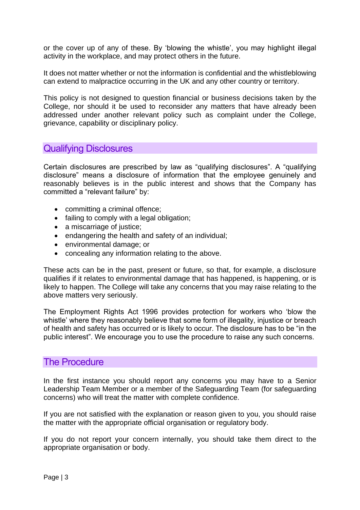or the cover up of any of these. By 'blowing the whistle', you may highlight illegal activity in the workplace, and may protect others in the future.

It does not matter whether or not the information is confidential and the whistleblowing can extend to malpractice occurring in the UK and any other country or territory.

This policy is not designed to question financial or business decisions taken by the College, nor should it be used to reconsider any matters that have already been addressed under another relevant policy such as complaint under the College, grievance, capability or disciplinary policy.

## <span id="page-3-0"></span>Qualifying Disclosures

Certain disclosures are prescribed by law as "qualifying disclosures". A "qualifying disclosure" means a disclosure of information that the employee genuinely and reasonably believes is in the public interest and shows that the Company has committed a "relevant failure" by:

- committing a criminal offence;
- failing to comply with a legal obligation;
- a miscarriage of justice;
- endangering the health and safety of an individual;
- environmental damage; or
- concealing any information relating to the above.

These acts can be in the past, present or future, so that, for example, a disclosure qualifies if it relates to environmental damage that has happened, is happening, or is likely to happen. The College will take any concerns that you may raise relating to the above matters very seriously.

The Employment Rights Act 1996 provides protection for workers who 'blow the whistle' where they reasonably believe that some form of illegality, injustice or breach of health and safety has occurred or is likely to occur. The disclosure has to be "in the public interest". We encourage you to use the procedure to raise any such concerns.

#### <span id="page-3-1"></span>The Procedure

In the first instance you should report any concerns you may have to a Senior Leadership Team Member or a member of the Safeguarding Team (for safeguarding concerns) who will treat the matter with complete confidence.

If you are not satisfied with the explanation or reason given to you, you should raise the matter with the appropriate official organisation or regulatory body.

If you do not report your concern internally, you should take them direct to the appropriate organisation or body.